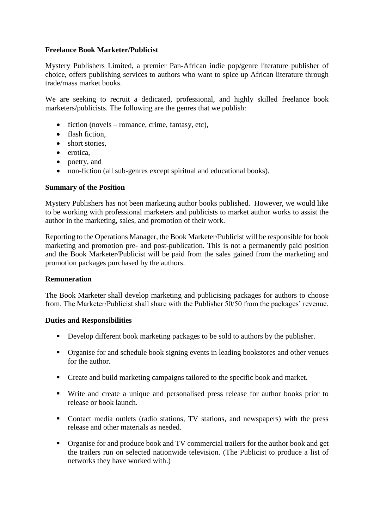# **Freelance Book Marketer/Publicist**

Mystery Publishers Limited, a premier Pan-African indie pop/genre literature publisher of choice, offers publishing services to authors who want to spice up African literature through trade/mass market books.

We are seeking to recruit a dedicated, professional, and highly skilled freelance book marketers/publicists. The following are the genres that we publish:

- $\bullet$  fiction (novels romance, crime, fantasy, etc),
- flash fiction,
- short stories
- erotica,
- poetry, and
- non-fiction (all sub-genres except spiritual and educational books).

#### **Summary of the Position**

Mystery Publishers has not been marketing author books published. However, we would like to be working with professional marketers and publicists to market author works to assist the author in the marketing, sales, and promotion of their work.

Reporting to the Operations Manager, the Book Marketer/Publicist will be responsible for book marketing and promotion pre- and post-publication. This is not a permanently paid position and the Book Marketer/Publicist will be paid from the sales gained from the marketing and promotion packages purchased by the authors.

# **Remuneration**

The Book Marketer shall develop marketing and publicising packages for authors to choose from. The Marketer/Publicist shall share with the Publisher 50/50 from the packages' revenue.

#### **Duties and Responsibilities**

- Develop different book marketing packages to be sold to authors by the publisher.
- Organise for and schedule book signing events in leading bookstores and other venues for the author.
- Create and build marketing campaigns tailored to the specific book and market.
- Write and create a unique and personalised press release for author books prior to release or book launch.
- Contact media outlets (radio stations, TV stations, and newspapers) with the press release and other materials as needed.
- Organise for and produce book and TV commercial trailers for the author book and get the trailers run on selected nationwide television. (The Publicist to produce a list of networks they have worked with.)